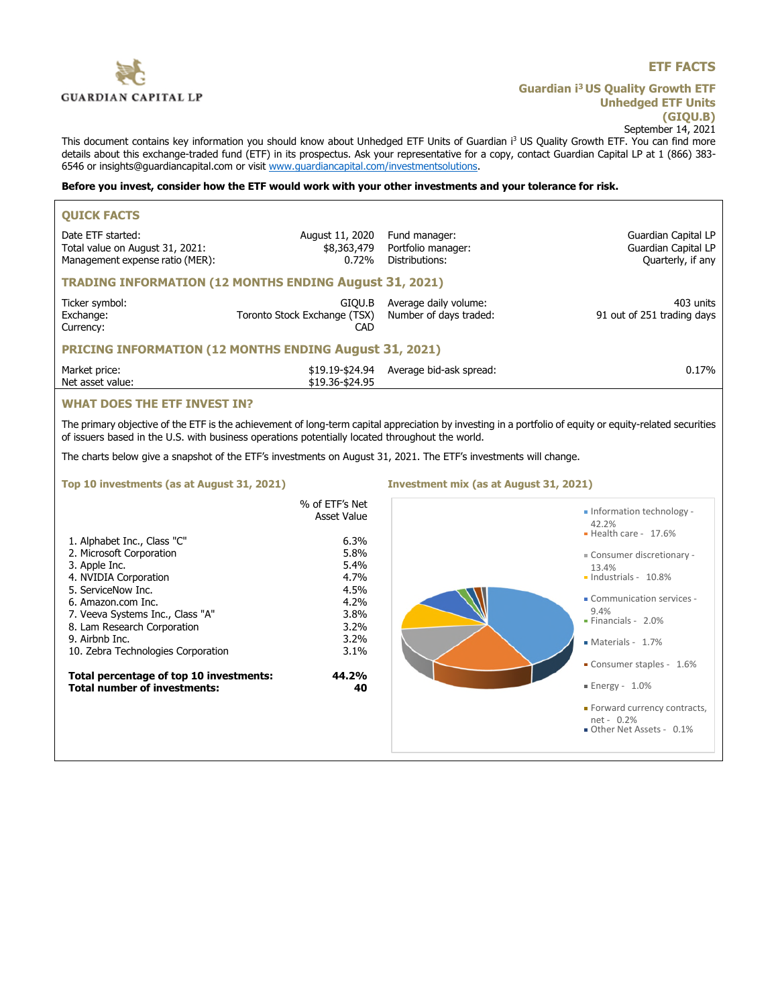

# **ETF FACTS**

**Guardian i<sup>3</sup>US Quality Growth ETF Unhedged ETF Units (GIQU.B)** September 14, 2021

This document contains key information you should know about Unhedged ETF Units of Guardian i<sup>3</sup> US Quality Growth ETF. You can find more details about this exchange-traded fund (ETF) in its prospectus. Ask your representative for a copy, contact Guardian Capital LP at 1 (866) 383-6546 or insights@guardiancapital.com or visit www.guardiancapital.com/investmentsolutions.

## **Before you invest, consider how the ETF would work with your other investments and your tolerance for risk.**

| <b>QUICK FACTS</b>                                                                                                                                       |                                               |                                                       |                                                                 |  |  |
|----------------------------------------------------------------------------------------------------------------------------------------------------------|-----------------------------------------------|-------------------------------------------------------|-----------------------------------------------------------------|--|--|
| Date ETF started:<br>Total value on August 31, 2021:<br>Management expense ratio (MER):                                                                  | August 11, 2020<br>\$8,363,479<br>0.72%       | Fund manager:<br>Portfolio manager:<br>Distributions: | Guardian Capital LP<br>Guardian Capital LP<br>Quarterly, if any |  |  |
| <b>TRADING INFORMATION (12 MONTHS ENDING August 31, 2021)</b>                                                                                            |                                               |                                                       |                                                                 |  |  |
| Ticker symbol:<br>Exchange:<br>Currency:                                                                                                                 | GIOU.B<br>Toronto Stock Exchange (TSX)<br>CAD | Average daily volume:<br>Number of days traded:       | 403 units<br>91 out of 251 trading days                         |  |  |
| <b>PRICING INFORMATION (12 MONTHS ENDING August 31, 2021)</b>                                                                                            |                                               |                                                       |                                                                 |  |  |
| Market price:<br>Net asset value:                                                                                                                        | \$19.36-\$24.95                               | \$19.19-\$24.94 Average bid-ask spread:               | 0.17%                                                           |  |  |
| <b>WHAT DOES THE ETF INVEST IN?</b>                                                                                                                      |                                               |                                                       |                                                                 |  |  |
| The primary objective of the FTF is the achievement of long-term capital appreciation by investing in a portfolio of equity or equity-related securities |                                               |                                                       |                                                                 |  |  |

The primary objective of the ETF is the achievement of long-term capital appreciation by investing in a portfolio of equity or equity-related securities of issuers based in the U.S. with business operations potentially located throughout the world.

The charts below give a snapshot of the ETF's investments on August 31, 2021. The ETF's investments will change.

### **Top 10 investments (as at August 31, 2021) Investment mix (as at August 31, 2021)**

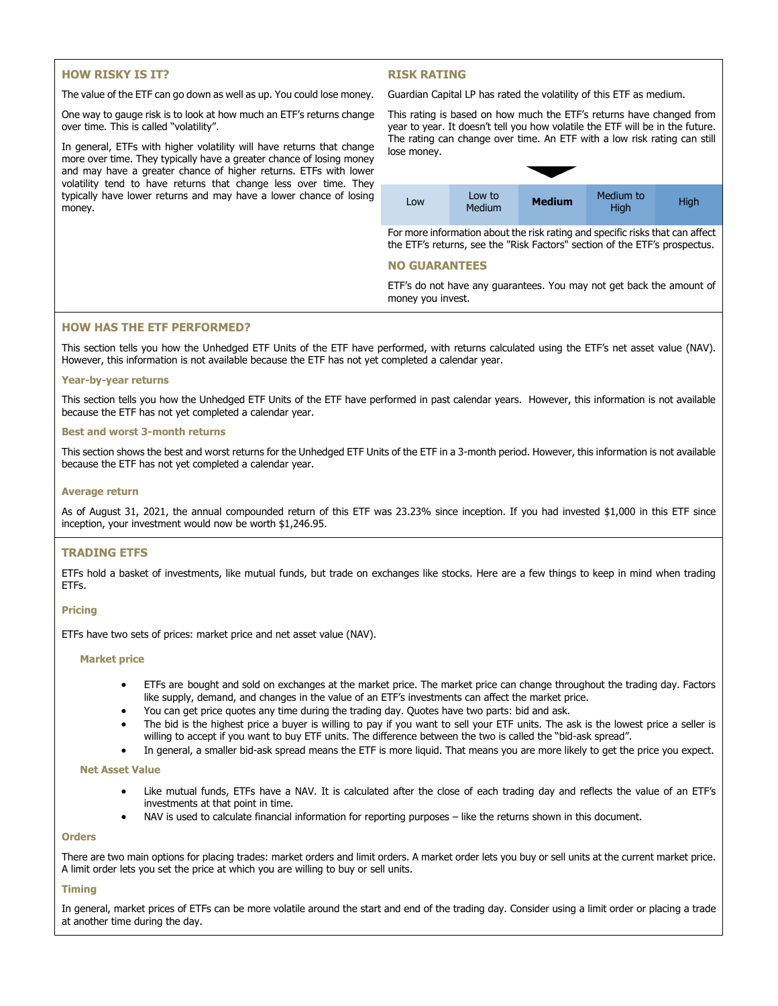# **HOW RISKY IS IT?**

# **RISK RATING**

The value of the ETF can go down as well as up. You could lose money.

One way to gauge risk is to look at how much an ETF's returns change over time. This is called "volatility".

In general, ETFs with higher volatility will have returns that change more over time. They typically have a greater chance of losing money and may have a greater chance of higher returns. ETFs with lower volatility tend to have returns that change less over time. They typically have lower returns and may have a lower chance of losing money.

Guardian Capital LP has rated the volatility of this ETF as medium.



For more information about the risk rating and specific risks that can affect the ETF's returns, see the "Risk Factors" section of the ETF's prospectus.

## **NO GUARANTEES**

ETF's do not have any guarantees. You may not get back the amount of money you invest.

## **HOW HAS THE ETF PERFORMED?**

This section tells you how the Unhedged ETF Units of the ETF have performed, with returns calculated using the ETF's net asset value (NAV). However, this information is not available because the ETF has not yet completed a calendar year.

#### **Year-by-year returns**

This section tells you how the Unhedged ETF Units of the ETF have performed in past calendar years. However, this information is not available because the ETF has not yet completed a calendar year.

#### **Best and worst 3-month returns**

This section shows the best and worst returns for the Unhedged ETF Units of the ETF in a 3-month period. However, this information is not available because the ETF has not yet completed a calendar year.

#### **Average return**

As of August 31, 2021, the annual compounded return of this ETF was 23.23% since inception. If you had invested \$1,000 in this ETF since inception, your investment would now be worth \$1,246.95.

## **TRADING ETFS**

ETFs hold a basket of investments, like mutual funds, but trade on exchanges like stocks. Here are a few things to keep in mind when trading ETFs.

### **Pricing**

ETFs have two sets of prices: market price and net asset value (NAV).

#### **Market price**

- ETFs are bought and sold on exchanges at the market price. The market price can change throughout the trading day. Factors like supply, demand, and changes in the value of an ETF's investments can affect the market price.
- You can get price quotes any time during the trading day. Quotes have two parts: bid and ask.
- The bid is the highest price a buyer is willing to pay if you want to sell your ETF units. The ask is the lowest price a seller is willing to accept if you want to buy ETF units. The difference between the two is called the "bid-ask spread".
- In general, a smaller bid-ask spread means the ETF is more liquid. That means you are more likely to get the price you expect.

#### **Net Asset Value**

- Like mutual funds, ETFs have a NAV. It is calculated after the close of each trading day and reflects the value of an ETF's investments at that point in time.
- NAV is used to calculate financial information for reporting purposes like the returns shown in this document.

#### **Orders**

There are two main options for placing trades: market orders and limit orders. A market order lets you buy or sell units at the current market price. A limit order lets you set the price at which you are willing to buy or sell units.

### **Timing**

In general, market prices of ETFs can be more volatile around the start and end of the trading day. Consider using a limit order or placing a trade at another time during the day.